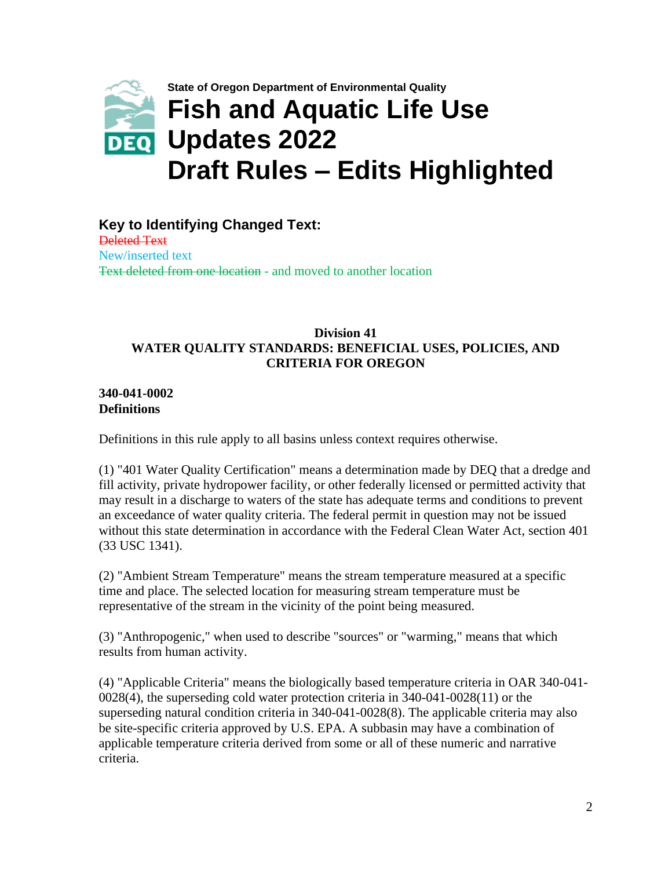

**Key to Identifying Changed Text:** Deleted Text New/inserted text Text deleted from one location - and moved to another location

## **Division 41 WATER QUALITY STANDARDS: BENEFICIAL USES, POLICIES, AND CRITERIA FOR OREGON**

**340-041-0002 Definitions** 

Definitions in this rule apply to all basins unless context requires otherwise.

(1) "401 Water Quality Certification" means a determination made by DEQ that a dredge and fill activity, private hydropower facility, or other federally licensed or permitted activity that may result in a discharge to waters of the state has adequate terms and conditions to prevent an exceedance of water quality criteria. The federal permit in question may not be issued without this state determination in accordance with the Federal Clean Water Act, section 401 (33 USC 1341).

(2) "Ambient Stream Temperature" means the stream temperature measured at a specific time and place. The selected location for measuring stream temperature must be representative of the stream in the vicinity of the point being measured.

(3) "Anthropogenic," when used to describe "sources" or "warming," means that which results from human activity.

(4) "Applicable Criteria" means the biologically based temperature criteria in OAR 340-041- 0028(4), the superseding cold water protection criteria in 340-041-0028(11) or the superseding natural condition criteria in 340-041-0028(8). The applicable criteria may also be site-specific criteria approved by U.S. EPA. A subbasin may have a combination of applicable temperature criteria derived from some or all of these numeric and narrative criteria.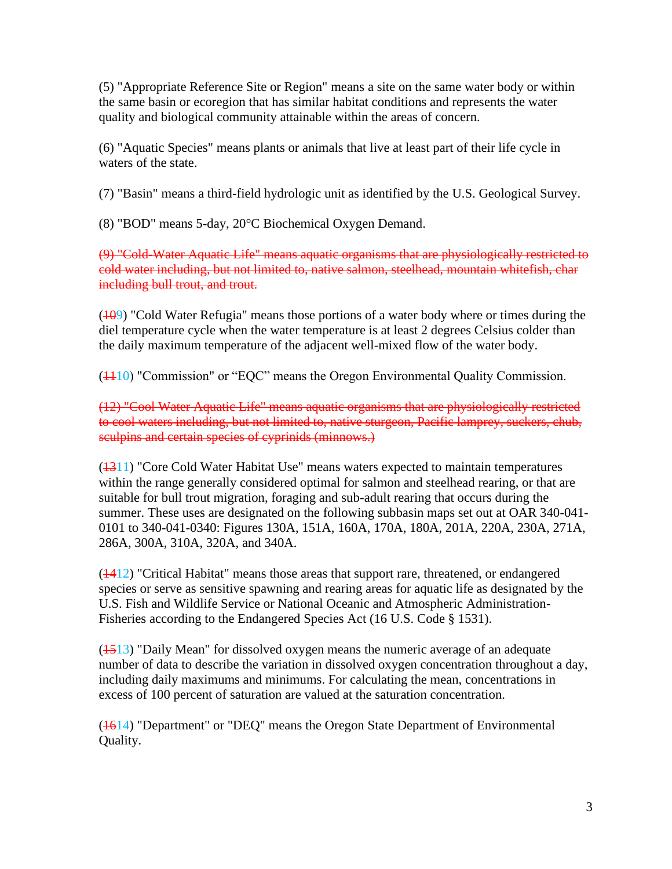(5) "Appropriate Reference Site or Region" means a site on the same water body or within the same basin or ecoregion that has similar habitat conditions and represents the water quality and biological community attainable within the areas of concern.

(6) "Aquatic Species" means plants or animals that live at least part of their life cycle in waters of the state.

(7) "Basin" means a third-field hydrologic unit as identified by the U.S. Geological Survey.

(8) "BOD" means 5-day, 20°C Biochemical Oxygen Demand.

(9) "Cold-Water Aquatic Life" means aquatic organisms that are physiologically restricted to cold water including, but not limited to, native salmon, steelhead, mountain whitefish, char including bull trout, and trout.

 $(109)$  "Cold Water Refugia" means those portions of a water body where or times during the diel temperature cycle when the water temperature is at least 2 degrees Celsius colder than the daily maximum temperature of the adjacent well-mixed flow of the water body.

(1110) "Commission" or "EQC" means the Oregon Environmental Quality Commission.

(12) "Cool Water Aquatic Life" means aquatic organisms that are physiologically restricted to cool waters including, but not limited to, native sturgeon, Pacific lamprey, suckers, chub, sculpins and certain species of cyprinids (minnows.)

(1311) "Core Cold Water Habitat Use" means waters expected to maintain temperatures within the range generally considered optimal for salmon and steelhead rearing, or that are suitable for bull trout migration, foraging and sub-adult rearing that occurs during the summer. These uses are designated on the following subbasin maps set out at OAR 340-041- 0101 to 340-041-0340: Figures 130A, 151A, 160A, 170A, 180A, 201A, 220A, 230A, 271A, 286A, 300A, 310A, 320A, and 340A.

 $(1412)$  "Critical Habitat" means those areas that support rare, threatened, or endangered species or serve as sensitive spawning and rearing areas for aquatic life as designated by the U.S. Fish and Wildlife Service or National Oceanic and Atmospheric Administration-Fisheries according to the Endangered Species Act (16 U.S. Code § 1531).

 $(1513)$  "Daily Mean" for dissolved oxygen means the numeric average of an adequate number of data to describe the variation in dissolved oxygen concentration throughout a day, including daily maximums and minimums. For calculating the mean, concentrations in excess of 100 percent of saturation are valued at the saturation concentration.

(1614) "Department" or "DEQ" means the Oregon State Department of Environmental Quality.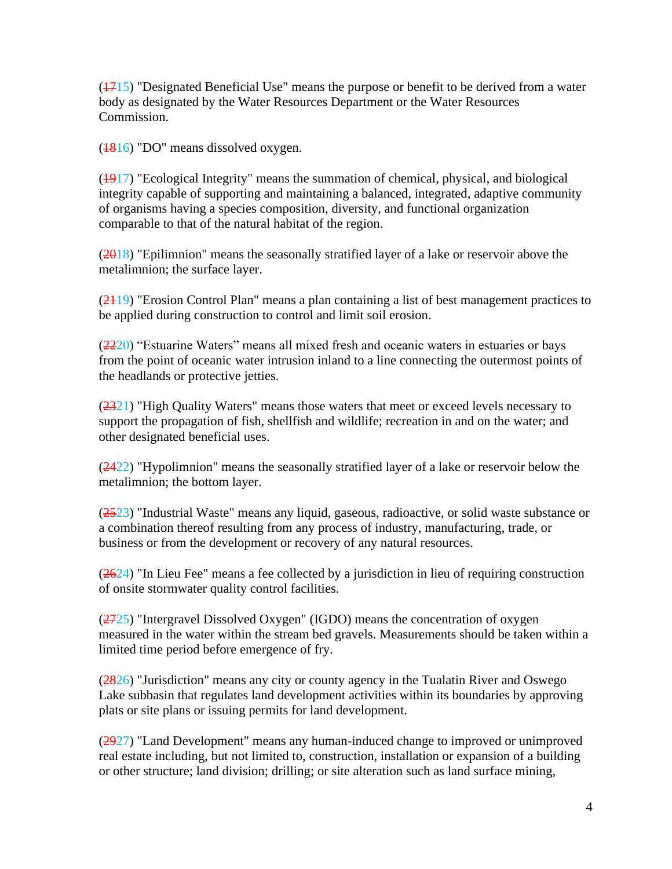$(1715)$  "Designated Beneficial Use" means the purpose or benefit to be derived from a water body as designated by the Water Resources Department or the Water Resources Commission.

(1816) "DO" means dissolved oxygen.

 $(1917)$  "Ecological Integrity" means the summation of chemical, physical, and biological integrity capable of supporting and maintaining a balanced, integrated, adaptive community of organisms having a species composition, diversity, and functional organization comparable to that of the natural habitat of the region.

 $(2018)$  "Epilimnion" means the seasonally stratified layer of a lake or reservoir above the metalimnion; the surface layer.

 $(2419)$  "Erosion Control Plan" means a plan containing a list of best management practices to be applied during construction to control and limit soil erosion.

(2220) "Estuarine Waters" means all mixed fresh and oceanic waters in estuaries or bays from the point of oceanic water intrusion inland to a line connecting the outermost points of the headlands or protective jetties.

 $(2321)$  "High Quality Waters" means those waters that meet or exceed levels necessary to support the propagation of fish, shellfish and wildlife; recreation in and on the water; and other designated beneficial uses.

 $(2422)$  "Hypolimnion" means the seasonally stratified layer of a lake or reservoir below the metalimnion; the bottom layer.

(2523) "Industrial Waste" means any liquid, gaseous, radioactive, or solid waste substance or a combination thereof resulting from any process of industry, manufacturing, trade, or business or from the development or recovery of any natural resources.

 $(2624)$  "In Lieu Fee" means a fee collected by a jurisdiction in lieu of requiring construction of onsite stormwater quality control facilities.

 $(2725)$  "Intergravel Dissolved Oxygen" (IGDO) means the concentration of oxygen measured in the water within the stream bed gravels. Measurements should be taken within a limited time period before emergence of fry.

 $(2826)$  "Jurisdiction" means any city or county agency in the Tualatin River and Oswego Lake subbasin that regulates land development activities within its boundaries by approving plats or site plans or issuing permits for land development.

(2927) "Land Development" means any human-induced change to improved or unimproved real estate including, but not limited to, construction, installation or expansion of a building or other structure; land division; drilling; or site alteration such as land surface mining,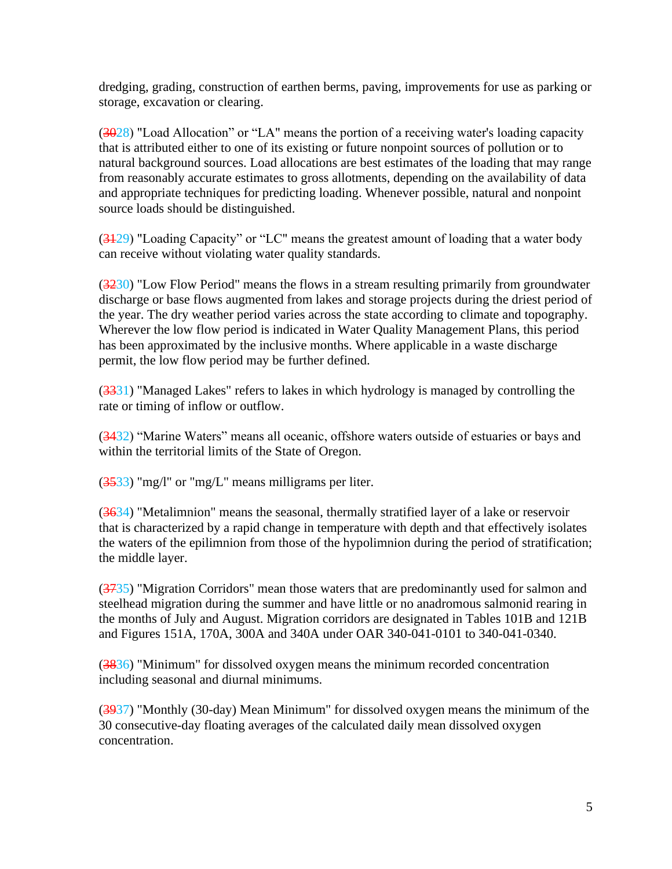dredging, grading, construction of earthen berms, paving, improvements for use as parking or storage, excavation or clearing.

 $(3028)$  "Load Allocation" or "LA" means the portion of a receiving water's loading capacity that is attributed either to one of its existing or future nonpoint sources of pollution or to natural background sources. Load allocations are best estimates of the loading that may range from reasonably accurate estimates to gross allotments, depending on the availability of data and appropriate techniques for predicting loading. Whenever possible, natural and nonpoint source loads should be distinguished.

 $(3129)$  "Loading Capacity" or "LC" means the greatest amount of loading that a water body can receive without violating water quality standards.

(3230) "Low Flow Period" means the flows in a stream resulting primarily from groundwater discharge or base flows augmented from lakes and storage projects during the driest period of the year. The dry weather period varies across the state according to climate and topography. Wherever the low flow period is indicated in Water Quality Management Plans, this period has been approximated by the inclusive months. Where applicable in a waste discharge permit, the low flow period may be further defined.

 $(3331)$  "Managed Lakes" refers to lakes in which hydrology is managed by controlling the rate or timing of inflow or outflow.

(3432) "Marine Waters" means all oceanic, offshore waters outside of estuaries or bays and within the territorial limits of the State of Oregon.

 $(3533)$  "mg/l" or "mg/L" means milligrams per liter.

(3634) "Metalimnion" means the seasonal, thermally stratified layer of a lake or reservoir that is characterized by a rapid change in temperature with depth and that effectively isolates the waters of the epilimnion from those of the hypolimnion during the period of stratification; the middle layer.

(3735) "Migration Corridors" mean those waters that are predominantly used for salmon and steelhead migration during the summer and have little or no anadromous salmonid rearing in the months of July and August. Migration corridors are designated in Tables 101B and 121B and Figures 151A, 170A, 300A and 340A under OAR 340-041-0101 to 340-041-0340.

(3836) "Minimum" for dissolved oxygen means the minimum recorded concentration including seasonal and diurnal minimums.

(3937) "Monthly (30-day) Mean Minimum" for dissolved oxygen means the minimum of the 30 consecutive-day floating averages of the calculated daily mean dissolved oxygen concentration.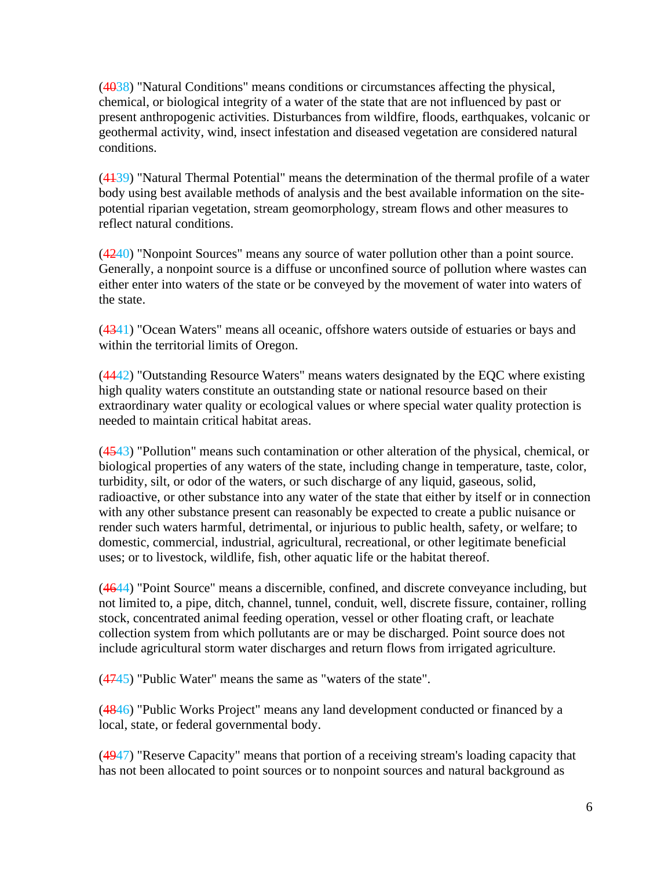(4038) "Natural Conditions" means conditions or circumstances affecting the physical, chemical, or biological integrity of a water of the state that are not influenced by past or present anthropogenic activities. Disturbances from wildfire, floods, earthquakes, volcanic or geothermal activity, wind, insect infestation and diseased vegetation are considered natural conditions.

(4139) "Natural Thermal Potential" means the determination of the thermal profile of a water body using best available methods of analysis and the best available information on the sitepotential riparian vegetation, stream geomorphology, stream flows and other measures to reflect natural conditions.

(4240) "Nonpoint Sources" means any source of water pollution other than a point source. Generally, a nonpoint source is a diffuse or unconfined source of pollution where wastes can either enter into waters of the state or be conveyed by the movement of water into waters of the state.

(4341) "Ocean Waters" means all oceanic, offshore waters outside of estuaries or bays and within the territorial limits of Oregon.

(4442) "Outstanding Resource Waters" means waters designated by the EQC where existing high quality waters constitute an outstanding state or national resource based on their extraordinary water quality or ecological values or where special water quality protection is needed to maintain critical habitat areas.

 $(4543)$  "Pollution" means such contamination or other alteration of the physical, chemical, or biological properties of any waters of the state, including change in temperature, taste, color, turbidity, silt, or odor of the waters, or such discharge of any liquid, gaseous, solid, radioactive, or other substance into any water of the state that either by itself or in connection with any other substance present can reasonably be expected to create a public nuisance or render such waters harmful, detrimental, or injurious to public health, safety, or welfare; to domestic, commercial, industrial, agricultural, recreational, or other legitimate beneficial uses; or to livestock, wildlife, fish, other aquatic life or the habitat thereof.

(4644) "Point Source" means a discernible, confined, and discrete conveyance including, but not limited to, a pipe, ditch, channel, tunnel, conduit, well, discrete fissure, container, rolling stock, concentrated animal feeding operation, vessel or other floating craft, or leachate collection system from which pollutants are or may be discharged. Point source does not include agricultural storm water discharges and return flows from irrigated agriculture.

(4745) "Public Water" means the same as "waters of the state".

(4846) "Public Works Project" means any land development conducted or financed by a local, state, or federal governmental body.

(4947) "Reserve Capacity" means that portion of a receiving stream's loading capacity that has not been allocated to point sources or to nonpoint sources and natural background as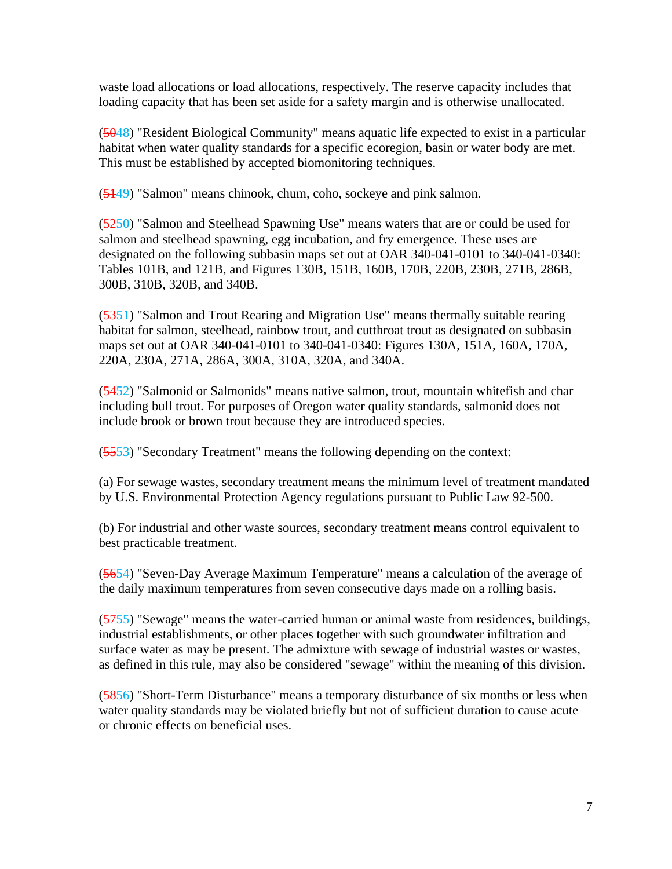waste load allocations or load allocations, respectively. The reserve capacity includes that loading capacity that has been set aside for a safety margin and is otherwise unallocated.

(5048) "Resident Biological Community" means aquatic life expected to exist in a particular habitat when water quality standards for a specific ecoregion, basin or water body are met. This must be established by accepted biomonitoring techniques.

(5149) "Salmon" means chinook, chum, coho, sockeye and pink salmon.

(5250) "Salmon and Steelhead Spawning Use" means waters that are or could be used for salmon and steelhead spawning, egg incubation, and fry emergence. These uses are designated on the following subbasin maps set out at OAR 340-041-0101 to 340-041-0340: Tables 101B, and 121B, and Figures 130B, 151B, 160B, 170B, 220B, 230B, 271B, 286B, 300B, 310B, 320B, and 340B.

(5351) "Salmon and Trout Rearing and Migration Use" means thermally suitable rearing habitat for salmon, steelhead, rainbow trout, and cutthroat trout as designated on subbasin maps set out at OAR 340-041-0101 to 340-041-0340: Figures 130A, 151A, 160A, 170A, 220A, 230A, 271A, 286A, 300A, 310A, 320A, and 340A.

(5452) "Salmonid or Salmonids" means native salmon, trout, mountain whitefish and char including bull trout. For purposes of Oregon water quality standards, salmonid does not include brook or brown trout because they are introduced species.

(5553) "Secondary Treatment" means the following depending on the context:

(a) For sewage wastes, secondary treatment means the minimum level of treatment mandated by U.S. Environmental Protection Agency regulations pursuant to Public Law 92-500.

(b) For industrial and other waste sources, secondary treatment means control equivalent to best practicable treatment.

(5654) "Seven-Day Average Maximum Temperature" means a calculation of the average of the daily maximum temperatures from seven consecutive days made on a rolling basis.

(5755) "Sewage" means the water-carried human or animal waste from residences, buildings, industrial establishments, or other places together with such groundwater infiltration and surface water as may be present. The admixture with sewage of industrial wastes or wastes, as defined in this rule, may also be considered "sewage" within the meaning of this division.

(5856) "Short-Term Disturbance" means a temporary disturbance of six months or less when water quality standards may be violated briefly but not of sufficient duration to cause acute or chronic effects on beneficial uses.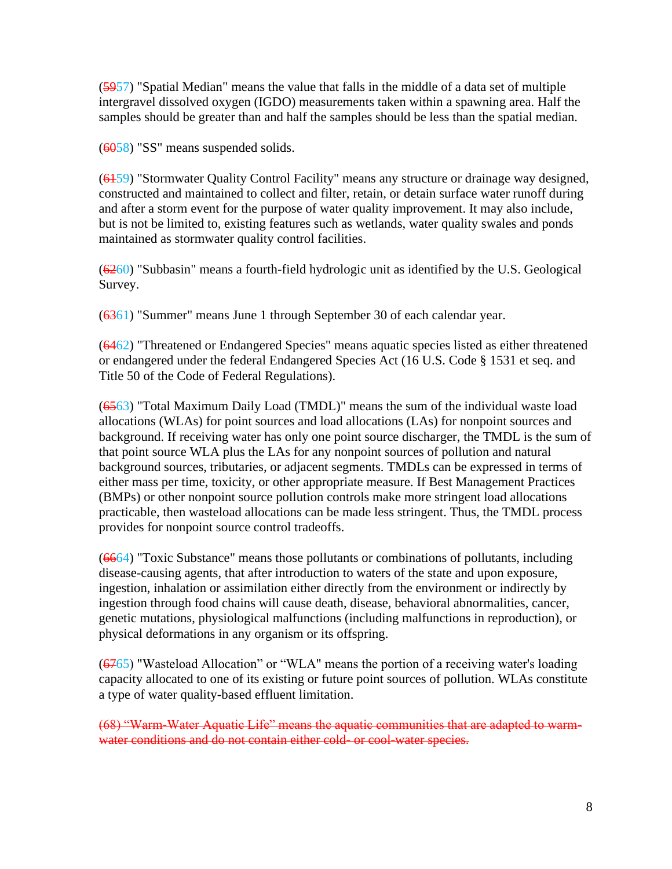(5957) "Spatial Median" means the value that falls in the middle of a data set of multiple intergravel dissolved oxygen (IGDO) measurements taken within a spawning area. Half the samples should be greater than and half the samples should be less than the spatial median.

(6058) "SS" means suspended solids.

(6159) "Stormwater Quality Control Facility" means any structure or drainage way designed, constructed and maintained to collect and filter, retain, or detain surface water runoff during and after a storm event for the purpose of water quality improvement. It may also include, but is not be limited to, existing features such as wetlands, water quality swales and ponds maintained as stormwater quality control facilities.

 $(6260)$  "Subbasin" means a fourth-field hydrologic unit as identified by the U.S. Geological Survey.

(6361) "Summer" means June 1 through September 30 of each calendar year.

(6462) "Threatened or Endangered Species" means aquatic species listed as either threatened or endangered under the federal Endangered Species Act (16 U.S. Code § 1531 et seq. and Title 50 of the Code of Federal Regulations).

(6563) "Total Maximum Daily Load (TMDL)" means the sum of the individual waste load allocations (WLAs) for point sources and load allocations (LAs) for nonpoint sources and background. If receiving water has only one point source discharger, the TMDL is the sum of that point source WLA plus the LAs for any nonpoint sources of pollution and natural background sources, tributaries, or adjacent segments. TMDLs can be expressed in terms of either mass per time, toxicity, or other appropriate measure. If Best Management Practices (BMPs) or other nonpoint source pollution controls make more stringent load allocations practicable, then wasteload allocations can be made less stringent. Thus, the TMDL process provides for nonpoint source control tradeoffs.

(6664) "Toxic Substance" means those pollutants or combinations of pollutants, including disease-causing agents, that after introduction to waters of the state and upon exposure, ingestion, inhalation or assimilation either directly from the environment or indirectly by ingestion through food chains will cause death, disease, behavioral abnormalities, cancer, genetic mutations, physiological malfunctions (including malfunctions in reproduction), or physical deformations in any organism or its offspring.

 $(6765)$  "Wasteload Allocation" or "WLA" means the portion of a receiving water's loading capacity allocated to one of its existing or future point sources of pollution. WLAs constitute a type of water quality-based effluent limitation.

(68) "Warm-Water Aquatic Life" means the aquatic communities that are adapted to warmwater conditions and do not contain either cold- or cool-water species.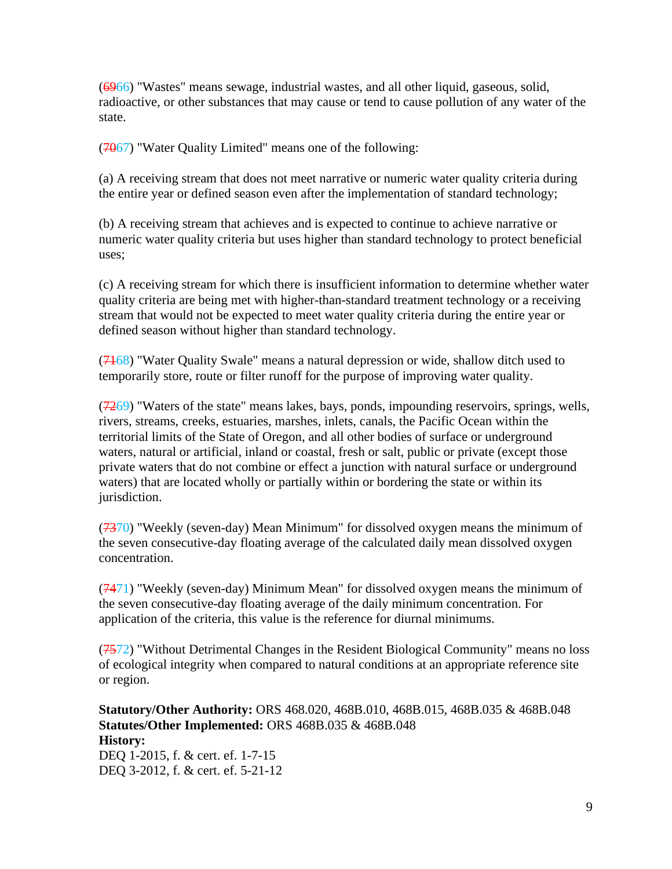(6966) "Wastes" means sewage, industrial wastes, and all other liquid, gaseous, solid, radioactive, or other substances that may cause or tend to cause pollution of any water of the state.

 $(7067)$  "Water Quality Limited" means one of the following:

(a) A receiving stream that does not meet narrative or numeric water quality criteria during the entire year or defined season even after the implementation of standard technology;

(b) A receiving stream that achieves and is expected to continue to achieve narrative or numeric water quality criteria but uses higher than standard technology to protect beneficial uses;

(c) A receiving stream for which there is insufficient information to determine whether water quality criteria are being met with higher-than-standard treatment technology or a receiving stream that would not be expected to meet water quality criteria during the entire year or defined season without higher than standard technology.

(7168) "Water Quality Swale" means a natural depression or wide, shallow ditch used to temporarily store, route or filter runoff for the purpose of improving water quality.

 $(7269)$  "Waters of the state" means lakes, bays, ponds, impounding reservoirs, springs, wells, rivers, streams, creeks, estuaries, marshes, inlets, canals, the Pacific Ocean within the territorial limits of the State of Oregon, and all other bodies of surface or underground waters, natural or artificial, inland or coastal, fresh or salt, public or private (except those private waters that do not combine or effect a junction with natural surface or underground waters) that are located wholly or partially within or bordering the state or within its jurisdiction.

 $(7370)$  "Weekly (seven-day) Mean Minimum" for dissolved oxygen means the minimum of the seven consecutive-day floating average of the calculated daily mean dissolved oxygen concentration.

 $(7471)$  "Weekly (seven-day) Minimum Mean" for dissolved oxygen means the minimum of the seven consecutive-day floating average of the daily minimum concentration. For application of the criteria, this value is the reference for diurnal minimums.

(7572) "Without Detrimental Changes in the Resident Biological Community" means no loss of ecological integrity when compared to natural conditions at an appropriate reference site or region.

**Statutory/Other Authority:** ORS 468.020, 468B.010, 468B.015, 468B.035 & 468B.048 **Statutes/Other Implemented:** ORS 468B.035 & 468B.048 **History:** DEQ 1-2015, f. & cert. ef. 1-7-15 DEQ 3-2012, f. & cert. ef. 5-21-12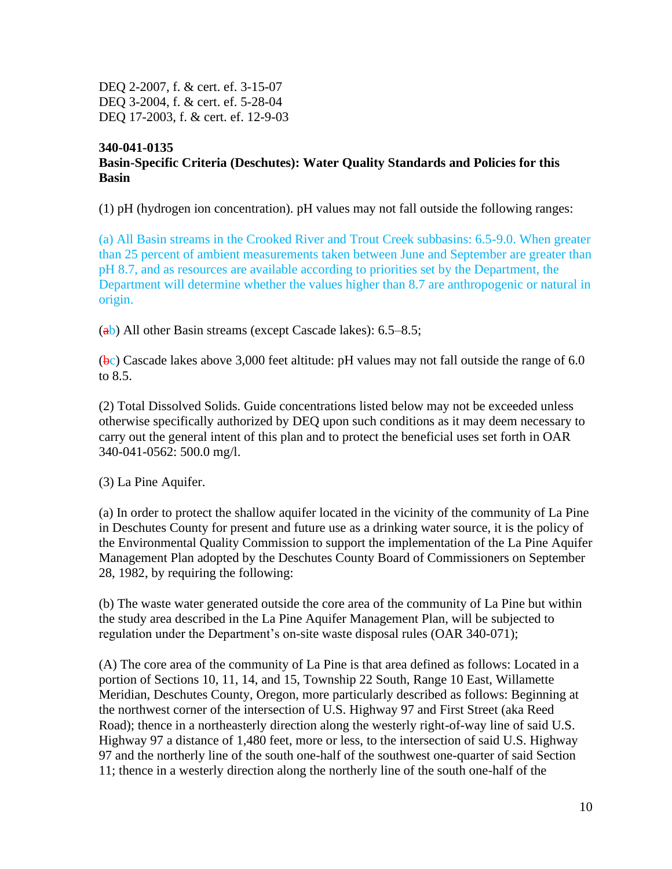DEQ 2-2007, f. & cert. ef. 3-15-07 DEQ 3-2004, f. & cert. ef. 5-28-04 DEQ 17-2003, f. & cert. ef. 12-9-03

## **340-041-0135 Basin-Specific Criteria (Deschutes): Water Quality Standards and Policies for this Basin**

(1) pH (hydrogen ion concentration). pH values may not fall outside the following ranges:

(a) All Basin streams in the Crooked River and Trout Creek subbasins: 6.5-9.0. When greater than 25 percent of ambient measurements taken between June and September are greater than pH 8.7, and as resources are available according to priorities set by the Department, the Department will determine whether the values higher than 8.7 are anthropogenic or natural in origin.

 $(a)$ ) All other Basin streams (except Cascade lakes): 6.5–8.5;

 $(bc)$  Cascade lakes above 3,000 feet altitude: pH values may not fall outside the range of 6.0 to 8.5.

(2) Total Dissolved Solids. Guide concentrations listed below may not be exceeded unless otherwise specifically authorized by DEQ upon such conditions as it may deem necessary to carry out the general intent of this plan and to protect the beneficial uses set forth in OAR 340-041-0562: 500.0 mg/l.

(3) La Pine Aquifer.

(a) In order to protect the shallow aquifer located in the vicinity of the community of La Pine in Deschutes County for present and future use as a drinking water source, it is the policy of the Environmental Quality Commission to support the implementation of the La Pine Aquifer Management Plan adopted by the Deschutes County Board of Commissioners on September 28, 1982, by requiring the following:

(b) The waste water generated outside the core area of the community of La Pine but within the study area described in the La Pine Aquifer Management Plan, will be subjected to regulation under the Department's on-site waste disposal rules (OAR 340-071);

(A) The core area of the community of La Pine is that area defined as follows: Located in a portion of Sections 10, 11, 14, and 15, Township 22 South, Range 10 East, Willamette Meridian, Deschutes County, Oregon, more particularly described as follows: Beginning at the northwest corner of the intersection of U.S. Highway 97 and First Street (aka Reed Road); thence in a northeasterly direction along the westerly right-of-way line of said U.S. Highway 97 a distance of 1,480 feet, more or less, to the intersection of said U.S. Highway 97 and the northerly line of the south one-half of the southwest one-quarter of said Section 11; thence in a westerly direction along the northerly line of the south one-half of the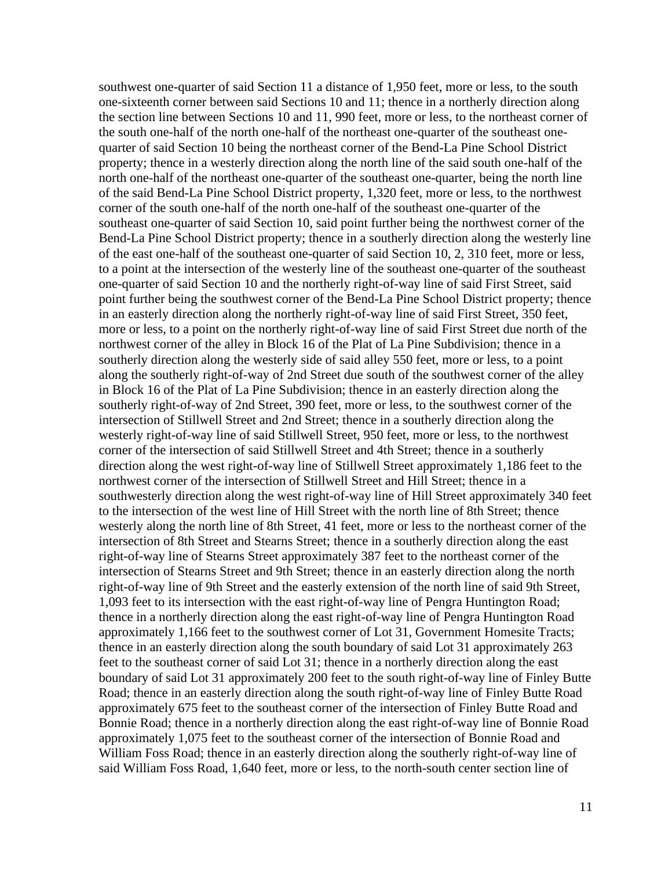southwest one-quarter of said Section 11 a distance of 1,950 feet, more or less, to the south one-sixteenth corner between said Sections 10 and 11; thence in a northerly direction along the section line between Sections 10 and 11, 990 feet, more or less, to the northeast corner of the south one-half of the north one-half of the northeast one-quarter of the southeast onequarter of said Section 10 being the northeast corner of the Bend-La Pine School District property; thence in a westerly direction along the north line of the said south one-half of the north one-half of the northeast one-quarter of the southeast one-quarter, being the north line of the said Bend-La Pine School District property, 1,320 feet, more or less, to the northwest corner of the south one-half of the north one-half of the southeast one-quarter of the southeast one-quarter of said Section 10, said point further being the northwest corner of the Bend-La Pine School District property; thence in a southerly direction along the westerly line of the east one-half of the southeast one-quarter of said Section 10, 2, 310 feet, more or less, to a point at the intersection of the westerly line of the southeast one-quarter of the southeast one-quarter of said Section 10 and the northerly right-of-way line of said First Street, said point further being the southwest corner of the Bend-La Pine School District property; thence in an easterly direction along the northerly right-of-way line of said First Street, 350 feet, more or less, to a point on the northerly right-of-way line of said First Street due north of the northwest corner of the alley in Block 16 of the Plat of La Pine Subdivision; thence in a southerly direction along the westerly side of said alley 550 feet, more or less, to a point along the southerly right-of-way of 2nd Street due south of the southwest corner of the alley in Block 16 of the Plat of La Pine Subdivision; thence in an easterly direction along the southerly right-of-way of 2nd Street, 390 feet, more or less, to the southwest corner of the intersection of Stillwell Street and 2nd Street; thence in a southerly direction along the westerly right-of-way line of said Stillwell Street, 950 feet, more or less, to the northwest corner of the intersection of said Stillwell Street and 4th Street; thence in a southerly direction along the west right-of-way line of Stillwell Street approximately 1,186 feet to the northwest corner of the intersection of Stillwell Street and Hill Street; thence in a southwesterly direction along the west right-of-way line of Hill Street approximately 340 feet to the intersection of the west line of Hill Street with the north line of 8th Street; thence westerly along the north line of 8th Street, 41 feet, more or less to the northeast corner of the intersection of 8th Street and Stearns Street; thence in a southerly direction along the east right-of-way line of Stearns Street approximately 387 feet to the northeast corner of the intersection of Stearns Street and 9th Street; thence in an easterly direction along the north right-of-way line of 9th Street and the easterly extension of the north line of said 9th Street, 1,093 feet to its intersection with the east right-of-way line of Pengra Huntington Road; thence in a northerly direction along the east right-of-way line of Pengra Huntington Road approximately 1,166 feet to the southwest corner of Lot 31, Government Homesite Tracts; thence in an easterly direction along the south boundary of said Lot 31 approximately 263 feet to the southeast corner of said Lot 31; thence in a northerly direction along the east boundary of said Lot 31 approximately 200 feet to the south right-of-way line of Finley Butte Road; thence in an easterly direction along the south right-of-way line of Finley Butte Road approximately 675 feet to the southeast corner of the intersection of Finley Butte Road and Bonnie Road; thence in a northerly direction along the east right-of-way line of Bonnie Road approximately 1,075 feet to the southeast corner of the intersection of Bonnie Road and William Foss Road; thence in an easterly direction along the southerly right-of-way line of said William Foss Road, 1,640 feet, more or less, to the north-south center section line of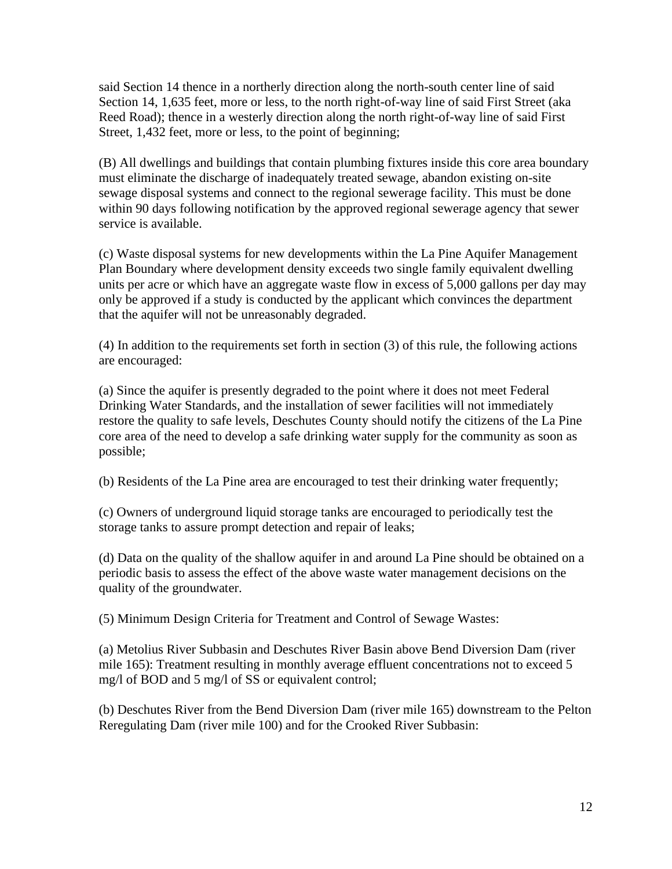said Section 14 thence in a northerly direction along the north-south center line of said Section 14, 1,635 feet, more or less, to the north right-of-way line of said First Street (aka Reed Road); thence in a westerly direction along the north right-of-way line of said First Street, 1,432 feet, more or less, to the point of beginning;

(B) All dwellings and buildings that contain plumbing fixtures inside this core area boundary must eliminate the discharge of inadequately treated sewage, abandon existing on-site sewage disposal systems and connect to the regional sewerage facility. This must be done within 90 days following notification by the approved regional sewerage agency that sewer service is available.

(c) Waste disposal systems for new developments within the La Pine Aquifer Management Plan Boundary where development density exceeds two single family equivalent dwelling units per acre or which have an aggregate waste flow in excess of 5,000 gallons per day may only be approved if a study is conducted by the applicant which convinces the department that the aquifer will not be unreasonably degraded.

(4) In addition to the requirements set forth in section (3) of this rule, the following actions are encouraged:

(a) Since the aquifer is presently degraded to the point where it does not meet Federal Drinking Water Standards, and the installation of sewer facilities will not immediately restore the quality to safe levels, Deschutes County should notify the citizens of the La Pine core area of the need to develop a safe drinking water supply for the community as soon as possible;

(b) Residents of the La Pine area are encouraged to test their drinking water frequently;

(c) Owners of underground liquid storage tanks are encouraged to periodically test the storage tanks to assure prompt detection and repair of leaks;

(d) Data on the quality of the shallow aquifer in and around La Pine should be obtained on a periodic basis to assess the effect of the above waste water management decisions on the quality of the groundwater.

(5) Minimum Design Criteria for Treatment and Control of Sewage Wastes:

(a) Metolius River Subbasin and Deschutes River Basin above Bend Diversion Dam (river mile 165): Treatment resulting in monthly average effluent concentrations not to exceed 5 mg/l of BOD and 5 mg/l of SS or equivalent control;

(b) Deschutes River from the Bend Diversion Dam (river mile 165) downstream to the Pelton Reregulating Dam (river mile 100) and for the Crooked River Subbasin: